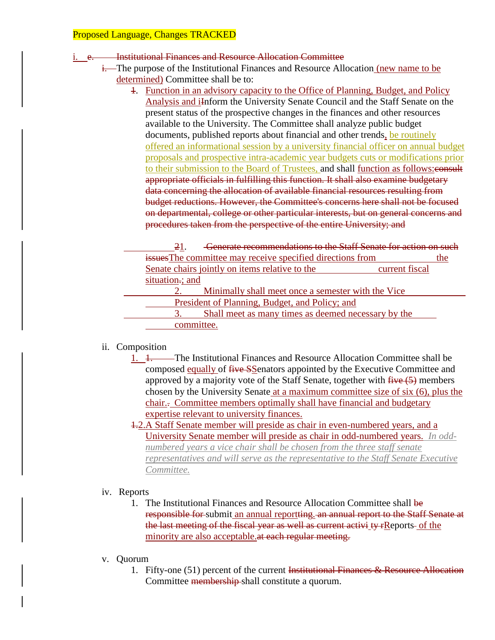### Institutional Finances and Resource Allocation Committee

- i. The purpose of the Institutional Finances and Resource Allocation (new name to be determined) Committee shall be to:
	- 1. Function in an advisory capacity to the Office of Planning, Budget, and Policy Analysis and iInform the University Senate Council and the Staff Senate on the present status of the prospective changes in the finances and other resources available to the University. The Committee shall analyze public budget documents, published reports about financial and other trends, be routinely offered an informational session by a university financial officer on annual budget proposals and prospective intra-academic year budgets cuts or modifications prior to their submission to the Board of Trustees, and shall function as follows: consult appropriate officials in fulfilling this function. It shall also examine budgetary data concerning the allocation of available financial resources resulting from budget reductions. However, the Committee's concerns here shall not be focused on departmental, college or other particular interests, but on general concerns and procedures taken from the perspective of the entire University; and

21. Generate recommendations to the Staff Senate for action on such issuesThe committee may receive specified directions from the Senate chairs jointly on items relative to the current fiscal situation.; and 2. Minimally shall meet once a semester with the Vice President of Planning, Budget, and Policy; and 3. Shall meet as many times as deemed necessary by the committee.

# ii. Composition

- 1. 1. The Institutional Finances and Resource Allocation Committee shall be composed equally of five SSenators appointed by the Executive Committee and approved by a majority vote of the Staff Senate, together with  $\frac{f}{f}$  members chosen by the University Senate at a maximum committee size of six (6), plus the chair.. Committee members optimally shall have financial and budgetary expertise relevant to university finances.
- 1.2.A Staff Senate member will preside as chair in even-numbered years, and a University Senate member will preside as chair in odd-numbered years. *In oddnumbered years a vice chair shall be chosen from the three staff senate representatives and will serve as the representative to the Staff Senate Executive Committee.*

# iv. Reports

- 1. The Institutional Finances and Resource Allocation Committee shall be responsible for submit an annual reportting. an annual report to the Staff Senate at the last meeting of the fiscal year as well as current activi ty rReports- of the minority are also acceptable.at each regular meeting.
- v. Quorum
	- 1. Fifty-one (51) percent of the current Institutional Finances & Resource Allocation Committee membership shall constitute a quorum.